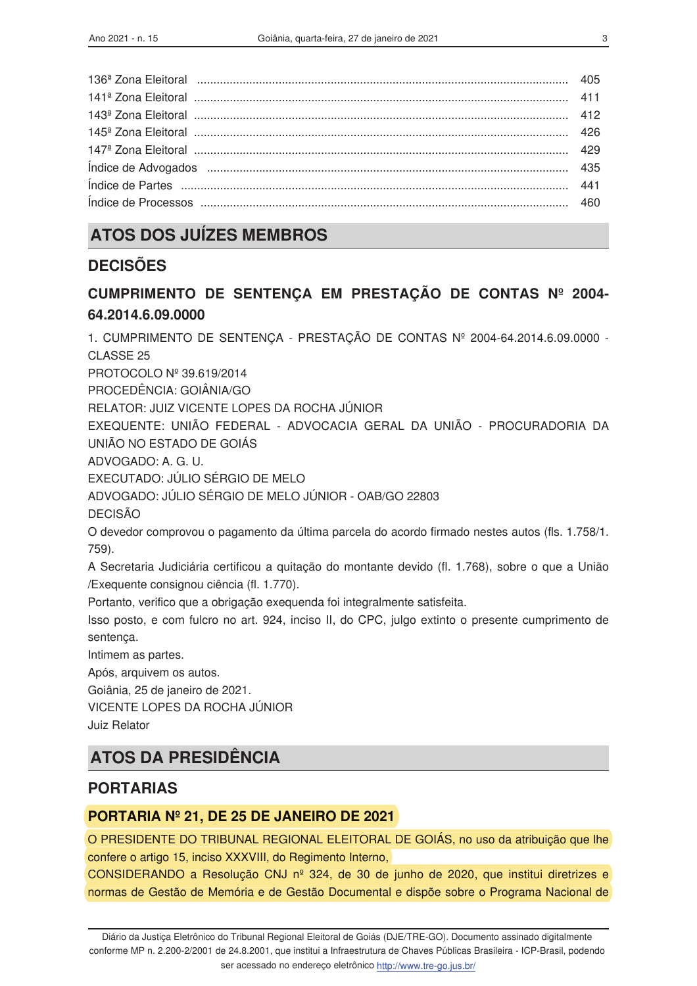| 460 |
|-----|
|     |

# **ATOS DOS JUÍZES MEMBROS**

## **DECISÕES**

# CUMPRIMENTO DE SENTENÇA EM PRESTAÇÃO DE CONTAS Nº 2004-64.2014.6.09.0000

1. CUMPRIMENTO DE SENTENÇA - PRESTAÇÃO DE CONTAS Nº 2004-64.2014.6.09.0000 -CLASSE<sub>25</sub> PROTOCOLO Nº 39.619/2014

PROCEDÊNCIA: GOIÂNIA/GO

RELATOR: JUIZ VICENTE LOPES DA ROCHA JÚNIOR

EXEQUENTE: UNIÃO FEDERAL - ADVOCACIA GERAL DA UNIÃO - PROCURADORIA DA UNIÃO NO ESTADO DE GOIÁS

ADVOGADO: A. G. U.

EXECUTADO: JÚLIO SÉRGIO DE MELO

ADVOGADO: JÚLIO SÉRGIO DE MELO JÚNIOR - OAB/GO 22803

**DECISÃO** 

O devedor comprovou o pagamento da última parcela do acordo firmado nestes autos (fls. 1.758/1.  $759.$ 

A Secretaria Judiciária certificou a quitação do montante devido (fl. 1.768), sobre o que a União /Exequente consignou ciência (fl. 1.770).

Portanto, verifico que a obrigação exequenda foi integralmente satisfeita.

Isso posto, e com fulcro no art. 924, inciso II, do CPC, julgo extinto o presente cumprimento de sentença.

Intimem as partes.

Após, arquivem os autos.

Goiânia, 25 de janeiro de 2021.

VICENTE LOPES DA ROCHA JÚNIOR

Juiz Relator

## **ATOS DA PRESIDÊNCIA**

### **PORTARIAS**

#### PORTARIA Nº 21, DE 25 DE JANEIRO DE 2021

O PRESIDENTE DO TRIBUNAL REGIONAL ELEITORAL DE GOIÁS, no uso da atribuição que lhe confere o artigo 15, inciso XXXVIII, do Regimento Interno,

CONSIDERANDO a Resolução CNJ nº 324, de 30 de junho de 2020, que institui diretrizes e normas de Gestão de Memória e de Gestão Documental e dispõe sobre o Programa Nacional de

Diário da Justica Eletrônico do Tribunal Regional Eleitoral de Goiás (DJE/TRE-GO). Documento assinado digitalmente conforme MP n. 2.200-2/2001 de 24.8.2001, que institui a Infraestrutura de Chaves Públicas Brasileira - ICP-Brasil, podendo ser acessado no endereço eletrônico http://www.tre-go.jus.br/